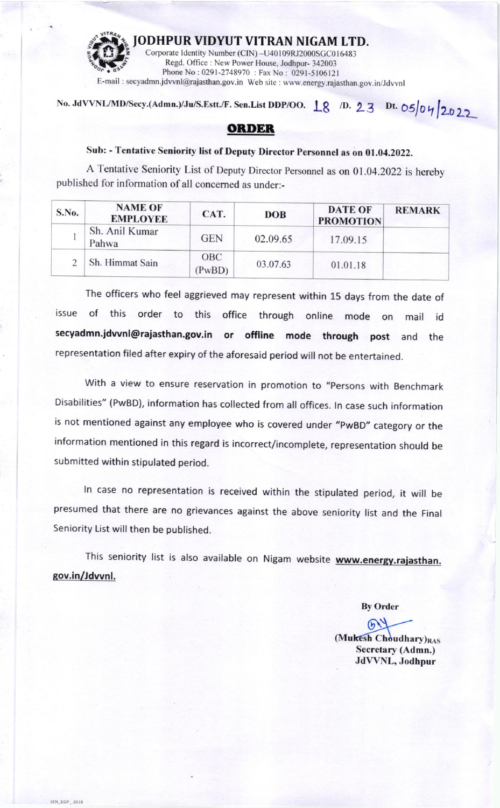

No. JdVVNL/MD/Secy.(Admn.)/Ju/S.Estt./F. Sen.List DDP/OO.  $\left| \begin{array}{cc} \infty & \text{D. 23} \\ \infty & \text{D. 23} \end{array} \right|$  Dt. O5|04|2022

## **ORDER**

## Sub: - Tentative Seniority list of Deputy Director personnel as on 01.04.2022.

A Tentative Seniority List of Deputy Director Personnel as on 01.04.2022 is hereby published for information of all concerned as under:-

| S.No. | <b>NAME OF</b><br><b>EMPLOYEE</b> | CAT.                 | DOB      | <b>DATE OF</b><br><b>PROMOTION</b> | <b>REMARK</b> |
|-------|-----------------------------------|----------------------|----------|------------------------------------|---------------|
|       | Sh. Anil Kumar<br>Pahwa           | <b>GEN</b>           | 02.09.65 | 17.09.15                           |               |
|       | Sh. Himmat Sain                   | <b>OBC</b><br>(PwBD) | 03.07.63 | 01.01.18                           |               |

The officers who feel aggrieved may represent within 15 days from the date of issue of this order to this office through online mode on mail id secyadmn.jdwnl@rajasthan.gov.in or offline mode through post and the representation filed after expiry of the aforesaid period will not be entertained.

with a view to ensure reservation in promotion to "persons with Benchmark Disabilities" (PwBD), information has collected from all offices. ln case such information is not mentioned against any employee who is covered under "PwBD" category or the information mentioned in this regard is incorrect/incomplete, representation should be submitted within stipulated period.

ln case no representation is received within the stipulated period, it will be presumed that there are no grievances against the above seniority list and the Final Seniority List will then be published.

This seniority list is also available on Nigam website www.energy.rajasthan. sov.in/Jdwnl.

**SEN DDP 2018** 

Bv Order

 $\mathcal{D}$ (Mukesh Choudhary)RAS Secretary (Admn.) JdVVNL, Jodhpur